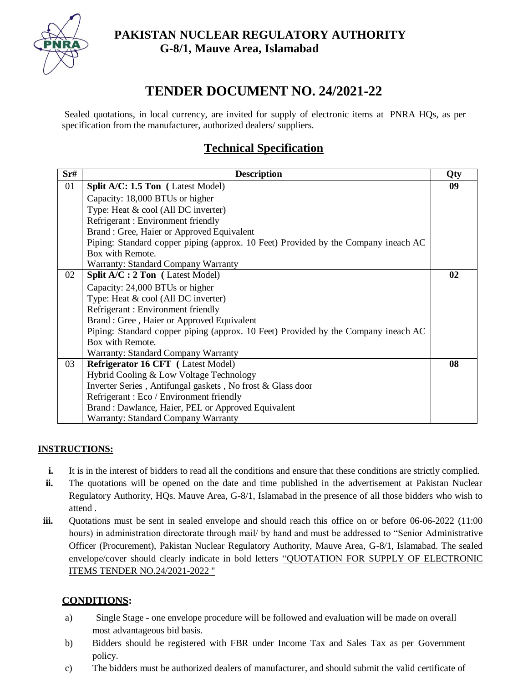

### **PAKISTAN NUCLEAR REGULATORY AUTHORITY G-8/1, Mauve Area, Islamabad**

# **TENDER DOCUMENT NO. 24/2021-22**

Sealed quotations, in local currency, are invited for supply of electronic items at PNRA HQs, as per specification from the manufacturer, authorized dealers/ suppliers.

## **Technical Specification**

| Sr# | <b>Description</b>                                                                 | Qty |
|-----|------------------------------------------------------------------------------------|-----|
| 01  | <b>Split A/C: 1.5 Ton</b> (Latest Model)                                           | 09  |
|     | Capacity: 18,000 BTUs or higher                                                    |     |
|     | Type: Heat & cool (All DC inverter)                                                |     |
|     | Refrigerant: Environment friendly                                                  |     |
|     | Brand: Gree, Haier or Approved Equivalent                                          |     |
|     | Piping: Standard copper piping (approx. 10 Feet) Provided by the Company ineach AC |     |
|     | Box with Remote.                                                                   |     |
|     | Warranty: Standard Company Warranty                                                |     |
| 02  | <b>Split A/C : 2 Ton</b> (Latest Model)                                            | 02  |
|     | Capacity: 24,000 BTUs or higher                                                    |     |
|     | Type: Heat & cool (All DC inverter)                                                |     |
|     | Refrigerant: Environment friendly                                                  |     |
|     | Brand: Gree, Haier or Approved Equivalent                                          |     |
|     | Piping: Standard copper piping (approx. 10 Feet) Provided by the Company ineach AC |     |
|     | Box with Remote.                                                                   |     |
|     | Warranty: Standard Company Warranty                                                |     |
| 03  | Refrigerator 16 CFT (Latest Model)                                                 | 08  |
|     | Hybrid Cooling & Low Voltage Technology                                            |     |
|     | Inverter Series, Antifungal gaskets, No frost & Glass door                         |     |
|     | Refrigerant: Eco / Environment friendly                                            |     |
|     | Brand: Dawlance, Haier, PEL or Approved Equivalent                                 |     |
|     | <b>Warranty: Standard Company Warranty</b>                                         |     |

#### **INSTRUCTIONS:**

- **i.** It is in the interest of bidders to read all the conditions and ensure that these conditions are strictly complied.
- **ii.** The quotations will be opened on the date and time published in the advertisement at Pakistan Nuclear Regulatory Authority, HQs. Mauve Area, G-8/1, Islamabad in the presence of all those bidders who wish to attend .
- **iii.** Quotations must be sent in sealed envelope and should reach this office on or before 06-06-2022 (11:00 hours) in administration directorate through mail/ by hand and must be addressed to "Senior Administrative" Officer (Procurement), Pakistan Nuclear Regulatory Authority, Mauve Area, G-8/1, Islamabad. The sealed envelope/cover should clearly indicate in bold letters "QUOTATION FOR SUPPLY OF ELECTRONIC ITEMS TENDER NO.24/2021-2022 "

#### **CONDITIONS:**

- a) Single Stage one envelope procedure will be followed and evaluation will be made on overall most advantageous bid basis.
- b) Bidders should be registered with FBR under Income Tax and Sales Tax as per Government policy.
- c) The bidders must be authorized dealers of manufacturer, and should submit the valid certificate of